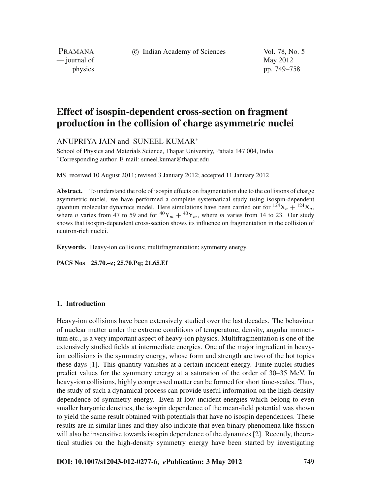c Indian Academy of Sciences Vol. 78, No. 5

PRAMANA  $\frac{1}{2}$  journal of May 2012

physics pp. 749–758

# **Effect of isospin-dependent cross-section on fragment production in the collision of charge asymmetric nuclei**

ANUPRIYA JAIN and SUNEEL KUMAR<sup>∗</sup>

School of Physics and Materials Science, Thapar University, Patiala 147 004, India <sup>∗</sup>Corresponding author. E-mail: suneel.kumar@thapar.edu

MS received 10 August 2011; revised 3 January 2012; accepted 11 January 2012

**Abstract.** To understand the role of isospin effects on fragmentation due to the collisions of charge asymmetric nuclei, we have performed a complete systematical study using isospin-dependent quantum molecular dynamics model. Here simulations have been carried out for  $124X_n + 124X_n$ , where *n* varies from 47 to 59 and for  ${}^{40}Y_m + {}^{40}Y_m$ , where *m* varies from 14 to 23. Our study shows that isospin-dependent cross-section shows its influence on fragmentation in the collision of neutron-rich nuclei.

**Keywords.** Heavy-ion collisions; multifragmentation; symmetry energy.

**PACS Nos 25.70.–z; 25.70.Pq; 21.65.Ef**

#### **1. Introduction**

Heavy-ion collisions have been extensively studied over the last decades. The behaviour of nuclear matter under the extreme conditions of temperature, density, angular momentum etc., is a very important aspect of heavy-ion physics. Multifragmentation is one of the extensively studied fields at intermediate energies. One of the major ingredient in heavyion collisions is the symmetry energy, whose form and strength are two of the hot topics these days [1]. This quantity vanishes at a certain incident energy. Finite nuclei studies predict values for the symmetry energy at a saturation of the order of 30–35 MeV. In heavy-ion collisions, highly compressed matter can be formed for short time-scales. Thus, the study of such a dynamical process can provide useful information on the high-density dependence of symmetry energy. Even at low incident energies which belong to even smaller baryonic densities, the isospin dependence of the mean-field potential was shown to yield the same result obtained with potentials that have no isospin dependences. These results are in similar lines and they also indicate that even binary phenomena like fission will also be insensitive towards isospin dependence of the dynamics [2]. Recently, theoretical studies on the high-density symmetry energy have been started by investigating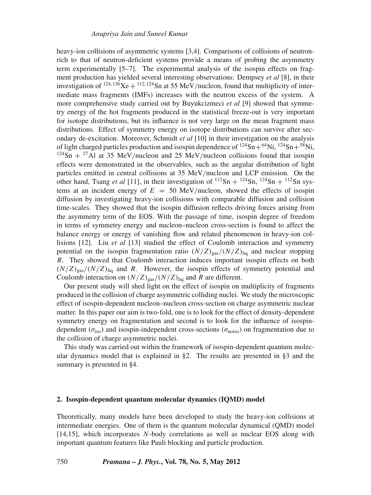heavy-ion collisions of asymmetric systems [3,4]. Comparisons of collisions of neutronrich to that of neutron-deficient systems provide a means of probing the asymmetry term experimentally [5–7]. The experimental analysis of the isospin effects on fragment production has yielded several interesting observations: Dempsey *et al* [8], in their investigation of <sup>124,136</sup>Xe + <sup>112,124</sup>Sn at 55 MeV/nucleon, found that multiplicity of intermediate mass fragments (IMFs) increases with the neutron excess of the system. A more comprehensive study carried out by Buyukcizmeci *et al* [9] showed that symmetry energy of the hot fragments produced in the statistical freeze-out is very important for isotope distributions, but its influence is not very large on the mean fragment mass distributions. Effect of symmetry energy on isotope distributions can survive after secondary de-excitation. Moreover, Schmidt *et al* [10] in their investigation on the analysis of light charged particles production and isospin dependence of  $^{124}Sn+^{64}Ni$ ,  $^{124}Sn+^{58}Ni$ ,  $124\text{Sn} + 27\text{Al}$  at 35 MeV/nucleon and 25 MeV/nucleon collisions found that isospin effects were demonstrated in the observables, such as the angular distribution of light particles emitted in central collisions at 35 MeV/nucleon and LCP emission. On the other hand, Tsang *et al* [11], in their investigation of  $^{112}Sn + ^{124}Sn$ ,  $^{124}Sn + ^{112}Sn$  systems at an incident energy of  $E = 50$  MeV/nucleon, showed the effects of isospin diffusion by investigating heavy-ion collisions with comparable diffusion and collision time-scales. They showed that the isospin diffusion reflects driving forces arising from the asymmetry term of the EOS. With the passage of time, isospin degree of freedom in terms of symmetry energy and nucleon–nucleon cross-section is found to affect the balance energy or energy of vanishing flow and related phenomenon in heavy-ion collisions [12]. Liu *et al* [13] studied the effect of Coulomb interaction and symmetry potential on the isospin fragmentation ratio  $(N/Z)_{\text{gas}}/(N/Z)_{\text{liq}}$  and nuclear stopping *R*. They showed that Coulomb interaction induces important isospin effects on both  $(N/Z)_{gas}/(N/Z)_{liq}$  and *R*. However, the isospin effects of symmetry potential and Coulomb interaction on  $(N/Z)_{\text{gas}}/(N/Z)_{\text{liq}}$  and *R* are different.

Our present study will shed light on the effect of isospin on multiplicity of fragments produced in the collision of charge asymmetric colliding nuclei. We study the microscopic effect of isospin-dependent nucleon–nucleon cross-section on charge asymmetric nuclear matter. In this paper our aim is two-fold, one is to look for the effect of density-dependent symmetry energy on fragmentation and second is to look for the influence of isospindependent ( $\sigma_{iso}$ ) and isospin-independent cross-sections ( $\sigma_{noiso}$ ) on fragmentation due to the collision of charge asymmetric nuclei.

This study was carried out within the framework of isospin-dependent quantum molecular dynamics model that is explained in §2. The results are presented in §3 and the summary is presented in §4.

#### **2. Isospin-dependent quantum molecular dynamics (IQMD) model**

Theoretically, many models have been developed to study the heavy-ion collisions at intermediate energies. One of them is the quantum molecular dynamical (QMD) model [14,15], which incorporates *N*-body correlations as well as nuclear EOS along with important quantum features like Pauli blocking and particle production.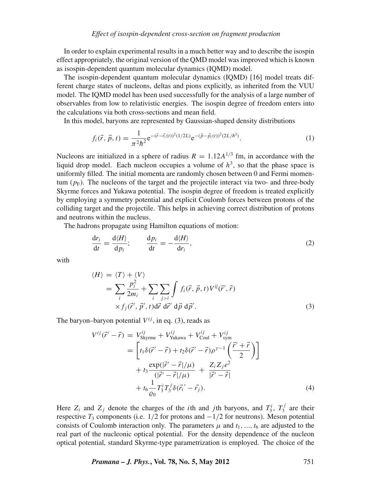In order to explain experimental results in a much better way and to describe the isospin effect appropriately, the original version of the QMD model was improved which is known as isospin-dependent quantum molecular dynamics (IQMD) model.

The isospin-dependent quantum molecular dynamics (IQMD) [16] model treats different charge states of nucleons, deltas and pions explicitly, as inherited from the VUU model. The IQMD model has been used successfully for the analysis of a large number of observables from low to relativistic energies. The isospin degree of freedom enters into the calculations via both cross-sections and mean field.

In this model, baryons are represented by Gaussian-shaped density distributions

$$
f_i(\vec{r}, \vec{p}, t) = \frac{1}{\pi^2 \hbar^2} e^{-(\vec{r} - \vec{r}_i(t))^2 (1/2L)} e^{-(\vec{p} - \vec{p}_i(t))^2 (2L/\hbar^2)}.
$$
 (1)

Nucleons are initialized in a sphere of radius  $R = 1.12A^{1/3}$  fm, in accordance with the liquid drop model. Each nucleon occupies a volume of  $h^3$ , so that the phase space is uniformly filled. The initial momenta are randomly chosen between 0 and Fermi momentum  $(p_F)$ . The nucleons of the target and the projectile interact via two- and three-body Skyrme forces and Yukawa potential. The isospin degree of freedom is treated explicitly by employing a symmetry potential and explicit Coulomb forces between protons of the colliding target and the projectile. This helps in achieving correct distribution of protons and neutrons within the nucleus.

The hadrons propagate using Hamilton equations of motion:

$$
\frac{\mathrm{d}r_i}{\mathrm{d}t} = \frac{\mathrm{d}\langle H \rangle}{\mathrm{d}p_i}; \qquad \frac{\mathrm{d}p_i}{\mathrm{d}t} = -\frac{\mathrm{d}\langle H \rangle}{\mathrm{d}r_i},\tag{2}
$$

with

$$
\langle H \rangle = \langle T \rangle + \langle V \rangle
$$
  
= 
$$
\sum_{i} \frac{p_i^2}{2m_i} + \sum_{i} \sum_{j>i} \int f_i(\vec{r}, \vec{p}, t) V^{ij}(\vec{r}', \vec{r})
$$
  
 
$$
\times f_j(\vec{r}', \vec{p}', t) d\vec{r} d\vec{r}' d\vec{p} d\vec{p}'. \tag{3}
$$

The baryon–baryon potential  $V^{ij}$ , in eq. (3), reads as

$$
V^{ij}(\vec{r}' - \vec{r}) = V^{ij}_{\text{Skyrme}} + V^{ij}_{\text{Yukawa}} + V^{ij}_{\text{Coul}} + V^{ij}_{\text{sym}}
$$
  
=  $\left[ t_1 \delta(\vec{r}' - \vec{r}) + t_2 \delta(\vec{r}' - \vec{r}) \rho^{\gamma - 1} \left( \frac{\vec{r}' + \vec{r}}{2} \right) \right]$   
+  $t_3 \frac{\exp(|\vec{r}' - \vec{r}|/\mu)}{(|\vec{r}' - \vec{r}|/\mu)} + \frac{Z_i Z_j e^2}{|\vec{r}' - \vec{r}|}$   
+  $t_6 \frac{1}{\varrho_0} T_3^i T_3^j \delta(\vec{r}_i' - \vec{r}_j).$  (4)

Here  $Z_i$  and  $Z_j$  denote the charges of the *i*th and *j*th baryons, and  $T_3^i$ ,  $T_3^j$  are their respective  $T_3$  components (i.e.  $1/2$  for protons and  $-1/2$  for neutrons). Meson potential consists of Coulomb interaction only. The parameters  $\mu$  and  $t_1, \ldots, t_6$  are adjusted to the real part of the nucleonic optical potential. For the density dependence of the nucleon optical potential, standard Skyrme-type parametrization is employed. The choice of the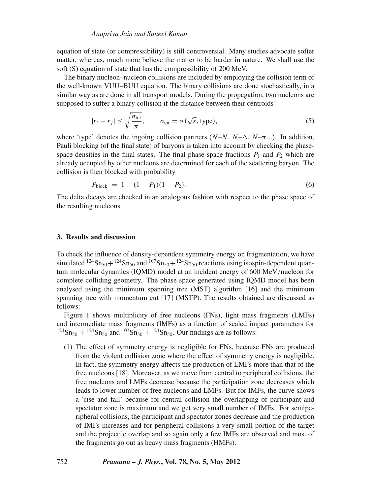equation of state (or compressibility) is still controversial. Many studies advocate softer matter, whereas, much more believe the matter to be harder in nature. We shall use the soft (S) equation of state that has the compressibility of 200 MeV.

The binary nucleon–nucleon collisions are included by employing the collision term of the well-known VUU–BUU equation. The binary collisions are done stochastically, in a similar way as are done in all transport models. During the propagation, two nucleons are supposed to suffer a binary collision if the distance between their centroids

$$
|r_i - r_j| \le \sqrt{\frac{\sigma_{\text{tot}}}{\pi}}, \qquad \sigma_{\text{tot}} = \sigma(\sqrt{s}, \text{ type}), \tag{5}
$$

where 'type' denotes the ingoing collision partners  $(N-N, N-\Delta, N-\pi, ...)$ . In addition, Pauli blocking (of the final state) of baryons is taken into account by checking the phasespace densities in the final states. The final phase-space fractions  $P_1$  and  $P_2$  which are already occupied by other nucleons are determined for each of the scattering baryon. The collision is then blocked with probability

$$
P_{\text{block}} = 1 - (1 - P_1)(1 - P_2). \tag{6}
$$

The delta decays are checked in an analogous fashion with respect to the phase space of the resulting nucleons.

#### **3. Results and discussion**

To check the influence of density-dependent symmetry energy on fragmentation, we have simulated  $^{124}Sn_{50} + ^{124}Sn_{50}$  and  $^{107}Sn_{50} + ^{124}Sn_{50}$  reactions using isospin-dependent quantum molecular dynamics (IQMD) model at an incident energy of 600 MeV/nucleon for complete colliding geometry. The phase space generated using IQMD model has been analysed using the minimum spanning tree (MST) algorithm [16] and the minimum spanning tree with momentum cut [17] (MSTP). The results obtained are discussed as follows:

Figure 1 shows multiplicity of free nucleons (FNs), light mass fragments (LMFs) and intermediate mass fragments (IMFs) as a function of scaled impact parameters for  $124\text{Sn}_{50} + 124\text{Sn}_{50}$  and  $107\text{Sn}_{50} + 124\text{Sn}_{50}$ . Our findings are as follows:

(1) The effect of symmetry energy is negligible for FNs, because FNs are produced from the violent collision zone where the effect of symmetry energy is negligible. In fact, the symmetry energy affects the production of LMFs more than that of the free nucleons [18]. Moreover, as we move from central to peripheral collisions, the free nucleons and LMFs decrease because the participation zone decreases which leads to lower number of free nucleons and LMFs. But for IMFs, the curve shows a 'rise and fall' because for central collision the overlapping of participant and spectator zone is maximum and we get very small number of IMFs. For semiperipheral collisions, the participant and spectator zones decrease and the production of IMFs increases and for peripheral collisions a very small portion of the target and the projectile overlap and so again only a few IMFs are observed and most of the fragments go out as heavy mass fragments (HMFs).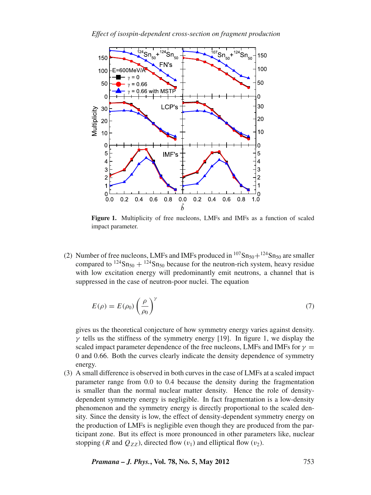*Effect of isospin-dependent cross-section on fragment production*



Figure 1. Multiplicity of free nucleons, LMFs and IMFs as a function of scaled impact parameter.

(2) Number of free nucleons, LMFs and IMFs produced in  $107\text{Sn}_{50}+124\text{Sn}_{50}$  are smaller compared to  $^{124}Sn_{50} + ^{124}Sn_{50}$  because for the neutron-rich system, heavy residue with low excitation energy will predominantly emit neutrons, a channel that is suppressed in the case of neutron-poor nuclei. The equation

$$
E(\rho) = E(\rho_0) \left(\frac{\rho}{\rho_0}\right)^{\gamma}
$$
\n(7)

gives us the theoretical conjecture of how symmetry energy varies against density.  $\gamma$  tells us the stiffness of the symmetry energy [19]. In figure 1, we display the scaled impact parameter dependence of the free nucleons, LMFs and IMFs for  $\gamma =$ 0 and 0.66. Both the curves clearly indicate the density dependence of symmetry energy.

(3) A small difference is observed in both curves in the case of LMFs at a scaled impact parameter range from 0.0 to 0.4 because the density during the fragmentation is smaller than the normal nuclear matter density. Hence the role of densitydependent symmetry energy is negligible. In fact fragmentation is a low-density phenomenon and the symmetry energy is directly proportional to the scaled density. Since the density is low, the effect of density-dependent symmetry energy on the production of LMFs is negligible even though they are produced from the participant zone. But its effect is more pronounced in other parameters like, nuclear stopping (*R* and  $Q_{ZZ}$ ), directed flow ( $v_1$ ) and elliptical flow ( $v_2$ ).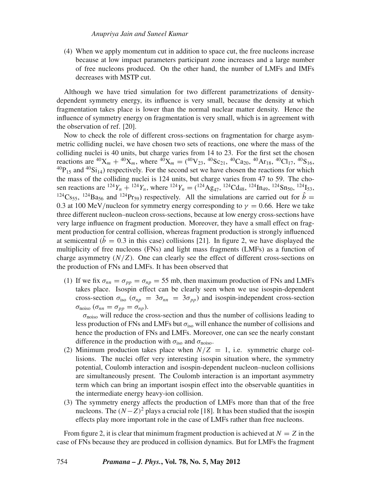(4) When we apply momentum cut in addition to space cut, the free nucleons increase because at low impact parameters participant zone increases and a large number of free nucleons produced. On the other hand, the number of LMFs and IMFs decreases with MSTP cut.

Although we have tried simulation for two different parametrizations of densitydependent symmetry energy, its influence is very small, because the density at which fragmentation takes place is lower than the normal nuclear matter density. Hence the influence of symmetry energy on fragmentation is very small, which is in agreement with the observation of ref. [20].

Now to check the role of different cross-sections on fragmentation for charge asymmetric colliding nuclei, we have chosen two sets of reactions, one where the mass of the colliding nuclei is 40 units, but charge varies from 14 to 23. For the first set the chosen reactions are <sup>40</sup>X<sub>m</sub> + <sup>40</sup>X<sub>m</sub>, where <sup>40</sup>X<sub>m</sub> = (<sup>40</sup>V<sub>23</sub>, <sup>40</sup>Sc<sub>21</sub>, <sup>40</sup>Ca<sub>20</sub>, <sup>40</sup>Ar<sub>18</sub>, <sup>40</sup>Cl<sub>17</sub>, <sup>40</sup>S<sub>16</sub>,  $^{40}P_{15}$  and  $^{40}Si_{14}$ ) respectively. For the second set we have chosen the reactions for which the mass of the colliding nuclei is 124 units, but charge varies from 47 to 59. The chosen reactions are  $^{124}Y_n + ^{124}Y_n$ , where  $^{124}Y_n = (^{124}Ag_{47}, ^{124}Cd_{48}, ^{124}In_{49}, ^{124}Sn_{50}, ^{124}Is_3,$ <sup>124</sup>Cs<sub>55</sub>, <sup>124</sup>Ba<sub>56</sub> and <sup>124</sup>Pr<sub>59</sub>) respectively. All the simulations are carried out for  $\hat{b}$  = 0.3 at 100 MeV/nucleon for symmetry energy corresponding to  $\gamma = 0.66$ . Here we take three different nucleon–nucleon cross-sections, because at low energy cross-sections have very large influence on fragment production. Moreover, they have a small effect on fragment production for central collision, whereas fragment production is strongly influenced at semicentral ( $\hat{b} = 0.3$  in this case) collisions [21]. In figure 2, we have displayed the multiplicity of free nucleons (FNs) and light mass fragments (LMFs) as a function of charge asymmetry  $(N/Z)$ . One can clearly see the effect of different cross-sections on the production of FNs and LMFs. It has been observed that

(1) If we fix  $\sigma_{nn} = \sigma_{pp} = \sigma_{np} = 55$  mb, then maximum production of FNs and LMFs takes place. Isospin effect can be clearly seen when we use isospin-dependent cross-section  $\sigma_{\text{iso}}$  ( $\sigma_{np} = 3\sigma_{nn} = 3\sigma_{pp}$ ) and isospin-independent cross-section  $\sigma_{\text{noiso}}$  ( $\sigma_{nn} = \sigma_{pp} = \sigma_{np}$ ).

 $\sigma_{\text{noise}}$  will reduce the cross-section and thus the number of collisions leading to less production of FNs and LMFs but  $\sigma_{iso}$  will enhance the number of collisions and hence the production of FNs and LMFs. Moreover, one can see the nearly constant difference in the production with  $\sigma_{\text{iso}}$  and  $\sigma_{\text{noise}}$ .

- (2) Minimum production takes place when  $N/Z = 1$ , i.e. symmetric charge collisions. The nuclei offer very interesting isospin situation where, the symmetry potential, Coulomb interaction and isospin-dependent nucleon–nucleon collisions are simultaneously present. The Coulomb interaction is an important asymmetry term which can bring an important isospin effect into the observable quantities in the intermediate energy heavy-ion collision.
- (3) The symmetry energy affects the production of LMFs more than that of the free nucleons. The  $(N-Z)^2$  plays a crucial role [18]. It has been studied that the isospin effects play more important role in the case of LMFs rather than free nucleons.

From figure 2, it is clear that minimum fragment production is achieved at  $N = Z$  in the case of FNs because they are produced in collision dynamics. But for LMFs the fragment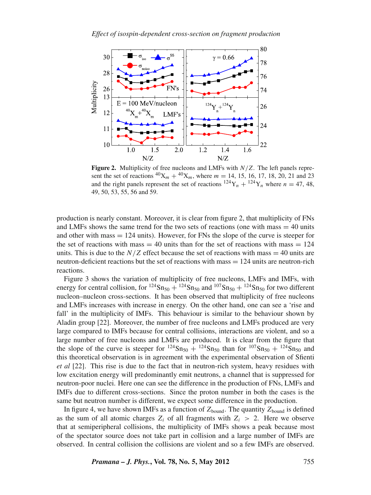

**Figure 2.** Multiplicity of free nucleons and LMFs with *N*/*Z*. The left panels represent the set of reactions  ${}^{40}X_m + {}^{40}X_m$ , where  $m = 14, 15, 16, 17, 18, 20, 21$  and 23 and the right panels represent the set of reactions  $^{124}Y_n + ^{124}Y_n$  where  $n = 47, 48$ , 49, 50, 53, 55, 56 and 59.

production is nearly constant. Moreover, it is clear from figure 2, that multiplicity of FNs and LMFs shows the same trend for the two sets of reactions (one with mass  $=$  40 units and other with mass  $= 124$  units). However, for FNs the slope of the curve is steeper for the set of reactions with mass  $= 40$  units than for the set of reactions with mass  $= 124$ units. This is due to the  $N/Z$  effect because the set of reactions with mass  $= 40$  units are neutron-deficient reactions but the set of reactions with mass = 124 units are neutron-rich reactions.

Figure 3 shows the variation of multiplicity of free nucleons, LMFs and IMFs, with energy for central collision, for <sup>124</sup>Sn<sub>50</sub> + <sup>124</sup>Sn<sub>50</sub> and <sup>107</sup>Sn<sub>50</sub> + <sup>124</sup>Sn<sub>50</sub> for two different nucleon–nucleon cross-sections. It has been observed that multiplicity of free nucleons and LMFs increases with increase in energy. On the other hand, one can see a 'rise and fall' in the multiplicity of IMFs. This behaviour is similar to the behaviour shown by Aladin group [22]. Moreover, the number of free nucleons and LMFs produced are very large compared to IMFs because for central collisions, interactions are violent, and so a large number of free nucleons and LMFs are produced. It is clear from the figure that the slope of the curve is steeper for  $^{124}Sn_{50} + ^{124}Sn_{50}$  than for  $^{107}Sn_{50} + ^{124}Sn_{50}$  and this theoretical observation is in agreement with the experimental observation of Sfienti *et al* [22]. This rise is due to the fact that in neutron-rich system, heavy residues with low excitation energy will predominantly emit neutrons, a channel that is suppressed for neutron-poor nuclei. Here one can see the difference in the production of FNs, LMFs and IMFs due to different cross-sections. Since the proton number in both the cases is the same but neutron number is different, we expect some difference in the production.

In figure 4, we have shown IMFs as a function of  $Z_{bound}$ . The quantity  $Z_{bound}$  is defined as the sum of all atomic charges  $Z_i$  of all fragments with  $Z_i > 2$ . Here we observe that at semiperipheral collisions, the multiplicity of IMFs shows a peak because most of the spectator source does not take part in collision and a large number of IMFs are observed. In central collision the collisions are violent and so a few IMFs are observed.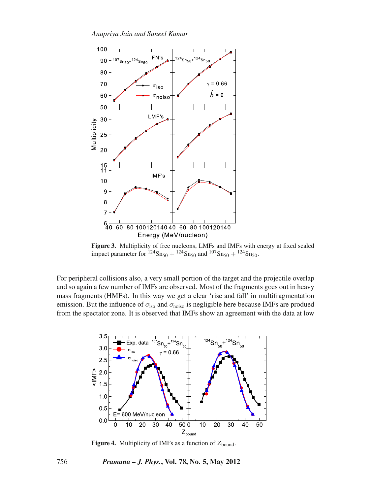

**Figure 3.** Multiplicity of free nucleons, LMFs and IMFs with energy at fixed scaled impact parameter for  $^{124}Sn_{50} + ^{124}Sn_{50}$  and  $^{107}Sn_{50} + ^{124}Sn_{50}$ .

For peripheral collisions also, a very small portion of the target and the projectile overlap and so again a few number of IMFs are observed. Most of the fragments goes out in heavy mass fragments (HMFs). In this way we get a clear 'rise and fall' in multifragmentation emission. But the influence of  $\sigma_{\text{iso}}$  and  $\sigma_{\text{noise}}$  is negligible here because IMFs are produed from the spectator zone. It is observed that IMFs show an agreement with the data at low



**Figure 4.** Multiplicity of IMFs as a function of  $Z_{bound}$ .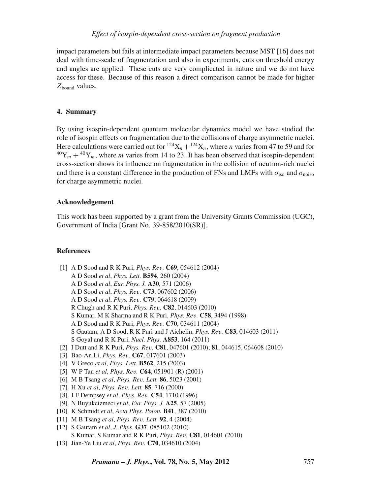impact parameters but fails at intermediate impact parameters because MST [16] does not deal with time-scale of fragmentation and also in experiments, cuts on threshold energy and angles are applied. These cuts are very complicated in nature and we do not have access for these. Because of this reason a direct comparison cannot be made for higher *Z*bound values.

## **4. Summary**

By using isospin-dependent quantum molecular dynamics model we have studied the role of isospin effects on fragmentation due to the collisions of charge asymmetric nuclei. Here calculations were carried out for  $124X_n + 124X_n$ , where *n* varies from 47 to 59 and for  ${}^{40}Y_m + {}^{40}Y_m$ , where *m* varies from 14 to 23. It has been observed that isospin-dependent cross-section shows its influence on fragmentation in the collision of neutron-rich nuclei and there is a constant difference in the production of FNs and LMFs with  $\sigma_{\text{iso}}$  and  $\sigma_{\text{noise}}$ for charge asymmetric nuclei.

#### **Acknowledgement**

This work has been supported by a grant from the University Grants Commission (UGC), Government of India [Grant No. 39-858/2010(SR)].

### **References**

- [1] A D Sood and R K Puri, *Phys. Re*v*.* **C69**, 054612 (2004) A D Sood *et al*, *Phys. Lett.* **B594**, 260 (2004) A D Sood *et al*, *Eur. Phys. J.* **A30**, 571 (2006) A D Sood *et al*, *Phys. Re*v*.* **C73**, 067602 (2006) A D Sood *et al*, *Phys. Re*v*.* **C79**, 064618 (2009) R Chugh and R K Puri, *Phys. Re*v*.* **C82**, 014603 (2010) S Kumar, M K Sharma and R K Puri, *Phys. Re*v*.* **C58**, 3494 (1998)
	-
	- A D Sood and R K Puri, *Phys. Re*v*.* **C70**, 034611 (2004)
	- S Gautam, A D Sood, R K Puri and J Aichelin, *Phys. Re*v*.* **C83**, 014603 (2011)
	- S Goyal and R K Puri, *Nucl. Phys.* **A853**, 164 (2011)
- [2] I Dutt and R K Puri, *Phys. Re*v*.* **C81**, 047601 (2010); **81**, 044615, 064608 (2010)
- [3] Bao-An Li, *Phys. Re*v*.* **C67**, 017601 (2003)
- [4] V Greco *et al*, *Phys. Lett.* **B562**, 215 (2003)
- [5] W P Tan *et al*, *Phys. Re*v*.* **C64**, 051901 (R) (2001)
- [6] M B Tsang *et al*, *Phys. Re*v*. Lett.* **86**, 5023 (2001)
- [7] H Xu *et al*, *Phys. Re*v*. Lett.* **85**, 716 (2000)
- [8] J F Dempsey *et al*, *Phys. Re*v*.* **C54**, 1710 (1996)
- [9] N Buyukcizmeci *et al*, *Eur. Phys. J.* **A25**, 57 (2005)
- [10] K Schmidt *et al*, *Acta Phys. Polon.* **B41**, 387 (2010)
- [11] M B Tsang *et al*, *Phys. Re*v*. Lett.* **92**, 4 (2004)
- [12] S Gautam *et al*, *J. Phys.* **G37**, 085102 (2010) S Kumar, S Kumar and R K Puri, *Phys. Re*v*.* **C81**, 014601 (2010)
- [13] Jian-Ye Liu *et al*, *Phys. Re*v*.* **C70**, 034610 (2004)